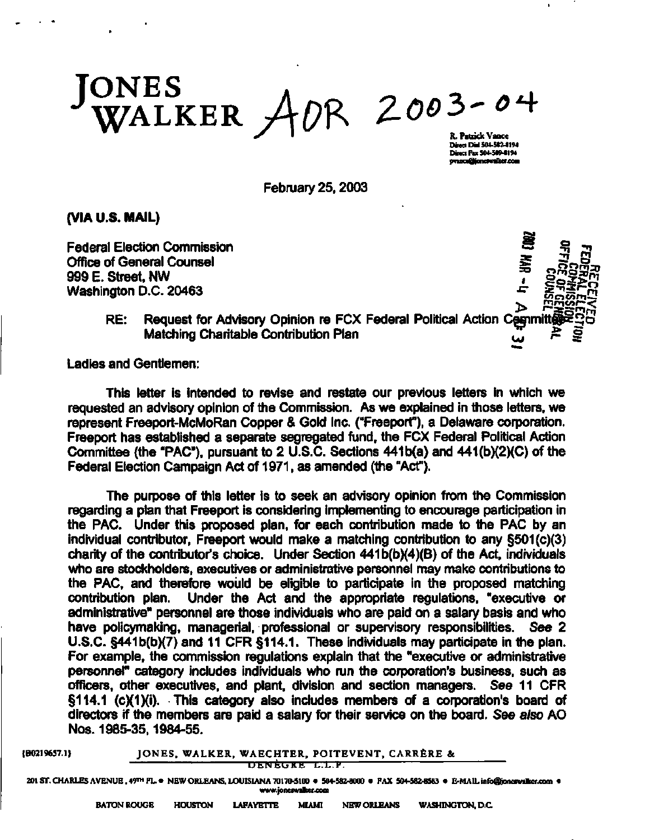$\frac{1}{2}$  WALKER  $\frac{1}{2}$  OR  $\frac{2003-0}{n}$ 

**Direct Dial 304-582-8194 Direct F u 504-589-8194 [pvince@joncfwalket.coni](mailto:pvince@joncfwalket.coni)** 

February 25,2003

**(VIA U.S. MAIL)** 

**Federal Election Commission** Office of General Counsel 999 E. Street, NW Washington D.C.  $20463$ 



RE: Request for Advisory Opinion re FCX Federal Political Action Committ Matching Charitable Contribution Plan

Ladies and Gentlemen:

This letter is intended to revise and restate our previous letters in which we requested an advisory opinion of the Commission. As we explained in those letters, we represent Freeport-McMoRan Copper & Gold Inc. ("Freeport"), a Delaware corporation. Freeport has established a separate segregated fund, the FCX Federal Political Action Committee (the "PAC"), pursuant to 2 U.S.C. Sections 441 b(a) and 441(b)(2)(C) of the Federal Election Campaign Act of 1971, as amended (the "Act").

The purpose of this letter is to seek an advisory opinion from the Commission regarding a plan that Freeport is considering implementing to encourage participation in the PAC. Under this proposed plan, for each contribution made to the PAC by an individual contributor, Freeport would make a matching contribution to any §501 (c)(3) charity of the contributor's choice. Under Section 441b(b)(4)(B) of the Act, individuals who are stockholders, executives or administrative personnel may make contributions to the PAC, and therefore would be eligible to participate in the proposed matching contribution plan. Under the Act and the appropriate regulations, "executive or administrative" personnel are those individuals who are paid on a salary basis and who have policymaking, managerial, professional or supervisory responsibilities. See 2 U.S.C. §441b(b)(7) and 11 CFR §114.1. These individuals may participate in the plan. For example, the commission regulations explain that the "executive or administrative personnel" category includes individuals who run the corporation's business, such as officers, other executives, and plant, division and section managers. See 11 CFR §114.1 (c)(1)(i). This category also includes members of a corporation's board of directors if the members are paid a salary for their service on the board. See also AO Nos. 1985-35,1984-55.

## **{B0219657.1} JONES , WALKER, WAECHTER, POITEVENT, CARRERE &**

**UhNhliRh . L.L.H.** 

**201 ST. CHARLES AVENUE, 49™ FL.« NEW ORLEANS, LOUISIANA 70170-5100 • 504-582-8000 • FAX 504-582-8583 • E-MAIL [info@joncswalkcr.com •](mailto:info@joncswalkcr.com) [www.joncswalkei.coni](http://www.joncswalkei.coni)**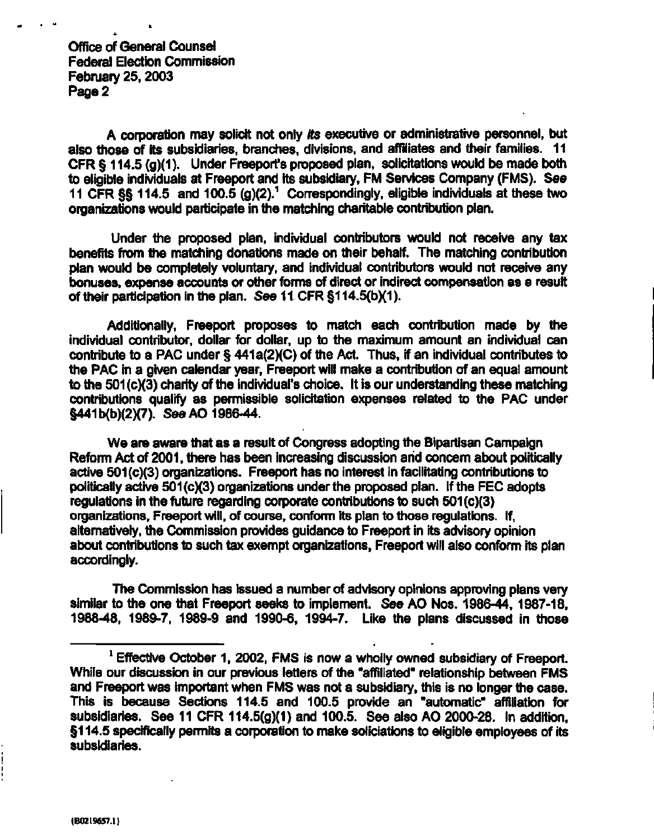**Office of General Counsel Federal Election Commission February 25,2003 Page 2** 

**A corporation may solicit not only its executive or administrative personnel, but also those of its subsidiaries, branches, divisions, and affiliates and their families. 11 CFR § 114.5 (g)(1)- Under Freeport's proposed plan, solicitations would be made both to eligible individuals at Freeport and its subsidiary, FM Services Company (FMS). See 11 CFR §§ 114.5 and 100.5 (g)(2).<sup>1</sup> Correspondingly, eligible individuals at these two organizations would participate in the matching charitable contribution plan.** 

**Under the proposed plan, individual contributors would not receive any tax benefits from the matching donations made on their behalf. The matching contribution plan would be completely voluntary, and individual contributors would not receive any bonuses, expense accounts or other forms of direct or indirect compensation as a result of their participation in the plan. See 11 CFR §114.5(b)(1).** 

**Additionally, Freeport proposes to match each contribution made by the individual contributor, dollar for dollar, up to the maximum amount an individual can contribute to a PAC under § 441a(2)(C) of the Act. Thus, if an individual contributes to the PAC in a given calendar year, Freeport will make a contribution of an equal amount to the 501 (c)(3) charity of the individual's choice. It is our understanding these matching contributions qualify as permissible solicitation expenses related to the PAC under §441b(b)(2)(7). See AO 1986-44.** 

**We are aware that as a result of Congress adopting the Bipartisan Campaign Reform Act of 2001, there has been increasing discussion arid concern about politically active 501(c)(3) organizations. Freeport has no interest in facilitating contributions to politically active 501(c)(3) organizations under the proposed plan. If the FEC adopts regulations in the future regarding corporate contributions to such 501(c)(3) organizations, Freeport will, of course, conform its plan to those regulations. If, alternatively, the Commission provides guidance to Freeport in its advisory opinion about contributions to such tax exempt organizations, Freeport will also conform its plan accordingly.** 

**The Commission has issued a number of advisory opinions approving plans very similar to the one that Freeport seeks to implement. See AO Nos. 1986-44, 1987-18, 1988-48, 1989-7, 1989-9 and 1990-6, 1994-7. Like the plans discussed in those** 

**<sup>1</sup> Effective October 1, 2002, FMS is now a wholly owned subsidiary of Freeport. While our discussion in our previous letters of the "affiliated" relationship between FMS and Freeport was important when FMS was not a subsidiary, this is no longer the case. This is because Sections 114.5 and 100.5 provide an "automatic" affiliation for subsidiaries. See 11 CFR 114.5(g)(1) and 100.5. See also AO 2000-28. In addition, §114.5 specifically permits a corporation to make soliciations to eligible employees of its subsidiaries.**